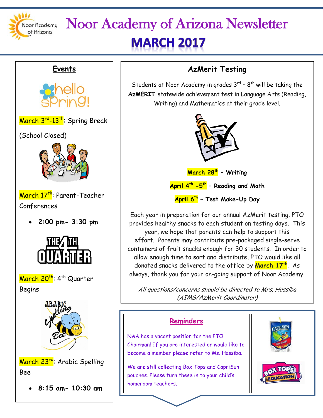

### Noor Academy of Arizona Newsletter **MARCH 2017**

# **Events** March 3<sup>rd</sup>-13<sup>th</sup>: Spring Break (School Closed) March 17<sup>th</sup>: Parent-Teacher Conferences • **2:00 pm- 3:30 pm** March 20<sup>th</sup>: 4<sup>th</sup> Quarter Begins March 23<sup>rd</sup>: Arabic Spelling Bee • **8:15 am- 10:30 am**

#### **AzMerit Testing**

Students at Noor Academy in grades  $3^{rd}$  -  $8^{th}$  will be taking the **AzMERIT** statewide achievement test in Language Arts (Reading, Writing) and Mathematics at their grade level.



**March 28th – Writing**

**April 4th -5th – Reading and Math**

**April 6th – Test Make-Up Day**

Each year in preparation for our annual AzMerit testing, PTO provides healthy snacks to each student on testing days. This year, we hope that parents can help to support this effort. Parents may contribute pre-packaged single-serve containers of fruit snacks enough for 30 students. In order to allow enough time to sort and distribute, PTO would like all donated snacks delivered to the office by **March 17th**. As always, thank you for your on-going support of Noor Academy.

All questions/concerns should be directed to Mrs. Hassiba (AIMS/AzMerit Coordinator)

#### **Reminders**

NAA has a vacant position for the PTO Chairman! If you are interested or would like to become a member please refer to Ms. Hassiba.

We are still collecting Box Tops and CapriSun pouches. Please turn these in to your child's homeroom teachers.